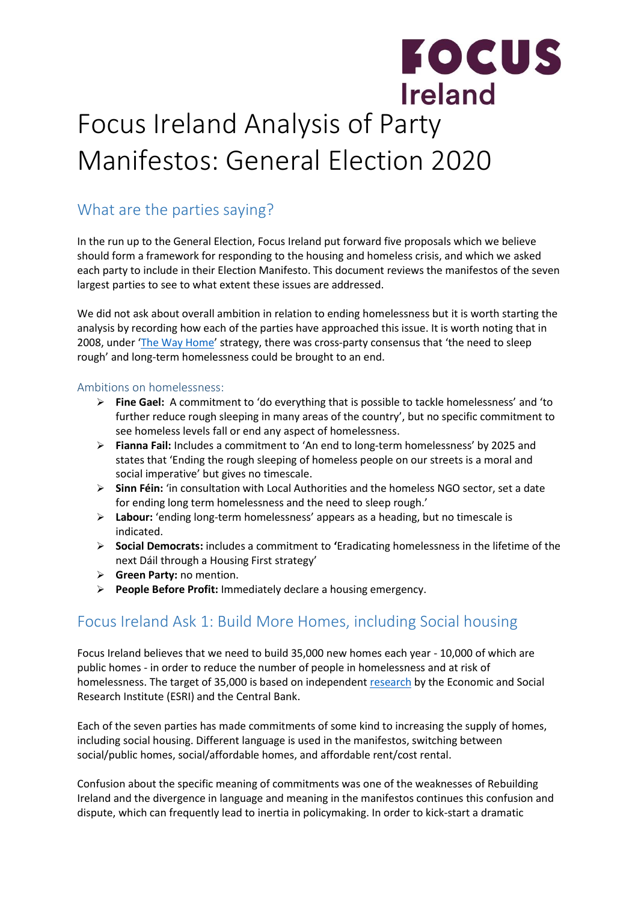## **FOCUS** Ireland Focus Ireland Analysis of Party Manifestos: General Election 2020

## What are the parties saying?

In the run up to the General Election, Focus Ireland put forward five proposals which we believe should form a framework for responding to the housing and homeless crisis, and which we asked each party to include in their Election Manifesto. This document reviews the manifestos of the seven largest parties to see to what extent these issues are addressed.

We did not ask about overall ambition in relation to ending homelessness but it is worth starting the analysis by recording how each of the parties have approached this issue. It is worth noting that in 2008, under '[The Way Home](https://www.housing.gov.ie/sites/default/files/migrated-files/en/Publications/DevelopmentandHousing/Housing/FileDownLoad%2C18192%2Cen.pdf)' strategy, there was cross-party consensus that 'the need to sleep rough' and long-term homelessness could be brought to an end.

#### Ambitions on homelessness:

- **Fine Gael:** A commitment to 'do everything that is possible to tackle homelessness' and 'to further reduce rough sleeping in many areas of the country', but no specific commitment to see homeless levels fall or end any aspect of homelessness.
- **Fianna Fail:** Includes a commitment to 'An end to long-term homelessness' by 2025 and states that 'Ending the rough sleeping of homeless people on our streets is a moral and social imperative' but gives no timescale.
- **Sinn Féin:** 'in consultation with Local Authorities and the homeless NGO sector, set a date for ending long term homelessness and the need to sleep rough.'
- **Labour:** 'ending long-term homelessness' appears as a heading, but no timescale is indicated.
- **Social Democrats:** includes a commitment to **'**Eradicating homelessness in the lifetime of the next Dáil through a Housing First strategy'
- **Green Party:** no mention.
- **People Before Profit:** Immediately declare a housing emergency.

### Focus Ireland Ask 1: Build More Homes, including Social housing

Focus Ireland believes that we need to build 35,000 new homes each year - 10,000 of which are public homes - in order to reduce the number of people in homelessness and at risk of homelessness. The target of 35,000 is based on independent [research](https://www.esri.ie/system/files/media/file-uploads/2017-11/QEC2017WIN_SA_McQuinn.pdf) by the Economic and Social Research Institute (ESRI) and the Central Bank.

Each of the seven parties has made commitments of some kind to increasing the supply of homes, including social housing. Different language is used in the manifestos, switching between social/public homes, social/affordable homes, and affordable rent/cost rental.

Confusion about the specific meaning of commitments was one of the weaknesses of Rebuilding Ireland and the divergence in language and meaning in the manifestos continues this confusion and dispute, which can frequently lead to inertia in policymaking. In order to kick-start a dramatic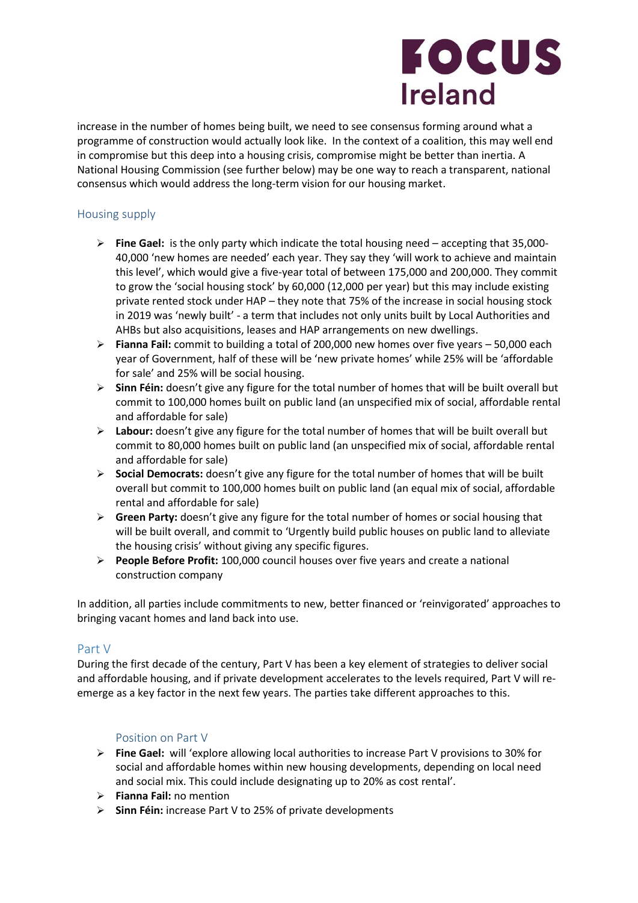# **FOCUS Ireland**

increase in the number of homes being built, we need to see consensus forming around what a programme of construction would actually look like. In the context of a coalition, this may well end in compromise but this deep into a housing crisis, compromise might be better than inertia. A National Housing Commission (see further below) may be one way to reach a transparent, national consensus which would address the long-term vision for our housing market.

#### Housing supply

- **Fine Gael:** is the only party which indicate the total housing need accepting that 35,000- 40,000 'new homes are needed' each year. They say they 'will work to achieve and maintain this level', which would give a five-year total of between 175,000 and 200,000. They commit to grow the 'social housing stock' by 60,000 (12,000 per year) but this may include existing private rented stock under HAP – they note that 75% of the increase in social housing stock in 2019 was 'newly built' - a term that includes not only units built by Local Authorities and AHBs but also acquisitions, leases and HAP arrangements on new dwellings.
- **Fianna Fail:** commit to building a total of 200,000 new homes over five years 50,000 each year of Government, half of these will be 'new private homes' while 25% will be 'affordable for sale' and 25% will be social housing.
- **Sinn Féin:** doesn't give any figure for the total number of homes that will be built overall but commit to 100,000 homes built on public land (an unspecified mix of social, affordable rental and affordable for sale)
- **Labour:** doesn't give any figure for the total number of homes that will be built overall but commit to 80,000 homes built on public land (an unspecified mix of social, affordable rental and affordable for sale)
- **Social Democrats:** doesn't give any figure for the total number of homes that will be built overall but commit to 100,000 homes built on public land (an equal mix of social, affordable rental and affordable for sale)
- **Green Party:** doesn't give any figure for the total number of homes or social housing that will be built overall, and commit to 'Urgently build public houses on public land to alleviate the housing crisis' without giving any specific figures.
- **People Before Profit:** 100,000 council houses over five years and create a national construction company

In addition, all parties include commitments to new, better financed or 'reinvigorated' approaches to bringing vacant homes and land back into use.

#### Part V

During the first decade of the century, Part V has been a key element of strategies to deliver social and affordable housing, and if private development accelerates to the levels required, Part V will reemerge as a key factor in the next few years. The parties take different approaches to this.

#### Position on Part V

- **Fine Gael:** will 'explore allowing local authorities to increase Part V provisions to 30% for social and affordable homes within new housing developments, depending on local need and social mix. This could include designating up to 20% as cost rental'.
- **Fianna Fail:** no mention
- **Sinn Féin:** increase Part V to 25% of private developments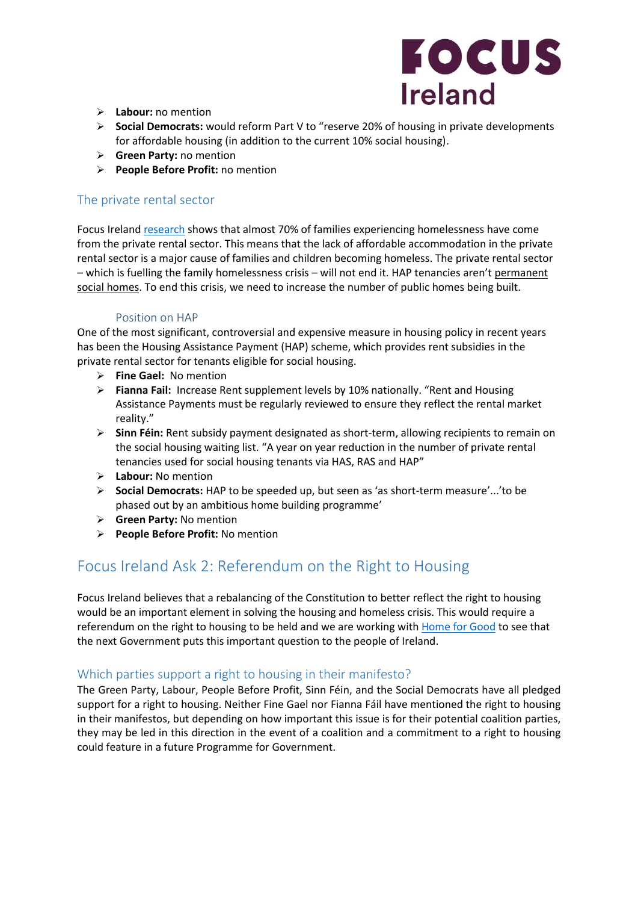

- **Labour:** no mention
- **Social Democrats:** would reform Part V to "reserve 20% of housing in private developments for affordable housing (in addition to the current 10% social housing).
- **Green Party:** no mention
- **People Before Profit:** no mention

#### The private rental sector

Focus Ireland [research](https://www.focusireland.ie/wp-content/uploads/2019/06/Long-et-al-2019-Insights-Vol-2-No-1-Family-Homelessness-in-Dublin-%E2%80%93-Full-Report.pdf) shows that almost 70% of families experiencing homelessness have come from the private rental sector. This means that the lack of affordable accommodation in the private rental sector is a major cause of families and children becoming homeless. The private rental sector – which is fuelling the family homelessness crisis – will not end it. HAP tenancies aren't permanent social homes. To end this crisis, we need to increase the number of public homes being built.

#### Position on HAP

One of the most significant, controversial and expensive measure in housing policy in recent years has been the Housing Assistance Payment (HAP) scheme, which provides rent subsidies in the private rental sector for tenants eligible for social housing.

- **Fine Gael:** No mention
- **Fianna Fail:** Increase Rent supplement levels by 10% nationally. "Rent and Housing Assistance Payments must be regularly reviewed to ensure they reflect the rental market reality."
- **Sinn Féin:** Rent subsidy payment designated as short-term, allowing recipients to remain on the social housing waiting list. "A year on year reduction in the number of private rental tenancies used for social housing tenants via HAS, RAS and HAP"
- **Labour:** No mention
- **Social Democrats:** HAP to be speeded up, but seen as 'as short-term measure'...'to be phased out by an ambitious home building programme'
- **Green Party:** No mention
- **People Before Profit:** No mention

### Focus Ireland Ask 2: Referendum on the Right to Housing

Focus Ireland believes that a rebalancing of the Constitution to better reflect the right to housing would be an important element in solving the housing and homeless crisis. This would require a referendum on the right to housing to be held and we are working with [Home for Good](http://www.homeforgood.ie/) to see that the next Government puts this important question to the people of Ireland.

#### Which parties support a right to housing in their manifesto?

The Green Party, Labour, People Before Profit, Sinn Féin, and the Social Democrats have all pledged support for a right to housing. Neither Fine Gael nor Fianna Fáil have mentioned the right to housing in their manifestos, but depending on how important this issue is for their potential coalition parties, they may be led in this direction in the event of a coalition and a commitment to a right to housing could feature in a future Programme for Government.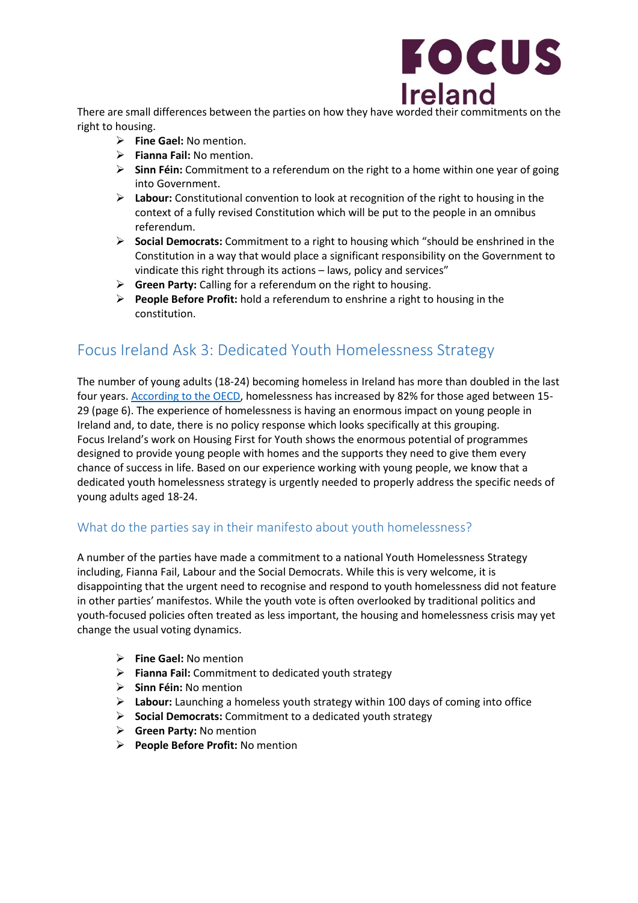

There are small differences between the parties on how they have worded their commitments on the right to housing.

- **Fine Gael:** No mention.
- **Fianna Fail:** No mention.
- **Sinn Féin:** Commitment to a referendum on the right to a home within one year of going into Government.
- **Labour:** Constitutional convention to look at recognition of the right to housing in the context of a fully revised Constitution which will be put to the people in an omnibus referendum.
- **Social Democrats:** Commitment to a right to housing which "should be enshrined in the Constitution in a way that would place a significant responsibility on the Government to vindicate this right through its actions – laws, policy and services"
- **Green Party:** Calling for a referendum on the right to housing.
- **People Before Profit:** hold a referendum to enshrine a right to housing in the constitution.

## Focus Ireland Ask 3: Dedicated Youth Homelessness Strategy

The number of young adults (18-24) becoming homeless in Ireland has more than doubled in the last four years. [According to the OECD,](http://bit.ly/2uZHOzT) homelessness has increased by 82% for those aged between 15- 29 (page 6). The experience of homelessness is having an enormous impact on young people in Ireland and, to date, there is no policy response which looks specifically at this grouping. Focus Ireland's work on Housing First for Youth shows the enormous potential of programmes designed to provide young people with homes and the supports they need to give them every chance of success in life. Based on our experience working with young people, we know that a dedicated youth homelessness strategy is urgently needed to properly address the specific needs of young adults aged 18-24.

#### What do the parties say in their manifesto about youth homelessness?

A number of the parties have made a commitment to a national Youth Homelessness Strategy including, Fianna Fail, Labour and the Social Democrats. While this is very welcome, it is disappointing that the urgent need to recognise and respond to youth homelessness did not feature in other parties' manifestos. While the youth vote is often overlooked by traditional politics and youth-focused policies often treated as less important, the housing and homelessness crisis may yet change the usual voting dynamics.

- **Fine Gael:** No mention
- **Fianna Fail:** Commitment to dedicated youth strategy
- **Sinn Féin:** No mention
- **Labour:** Launching a homeless youth strategy within 100 days of coming into office
- **Social Democrats:** Commitment to a dedicated youth strategy
- **Green Party:** No mention
- **People Before Profit:** No mention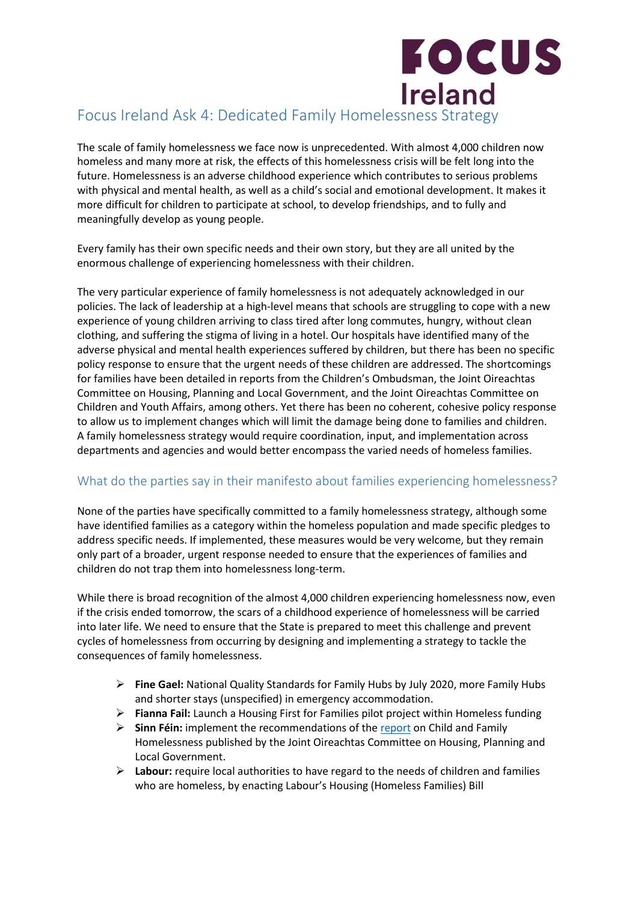## **FOCUS Ireland** Focus Ireland Ask 4: Dedicated Family Homelessness Strategy

The scale of family homelessness we face now is unprecedented. With almost 4,000 children now homeless and many more at risk, the effects of this homelessness crisis will be felt long into the future. Homelessness is an adverse childhood experience which contributes to serious problems with physical and mental health, as well as a child's social and emotional development. It makes it more difficult for children to participate at school, to develop friendships, and to fully and meaningfully develop as young people.

Every family has their own specific needs and their own story, but they are all united by the enormous challenge of experiencing homelessness with their children.

The very particular experience of family homelessness is not adequately acknowledged in our policies. The lack of leadership at a high-level means that schools are struggling to cope with a new experience of young children arriving to class tired after long commutes, hungry, without clean clothing, and suffering the stigma of living in a hotel. Our hospitals have identified many of the adverse physical and mental health experiences suffered by children, but there has been no specific policy response to ensure that the urgent needs of these children are addressed. The shortcomings for families have been detailed in reports from the Children's Ombudsman, the Joint Oireachtas Committee on Housing, Planning and Local Government, and the Joint Oireachtas Committee on Children and Youth Affairs, among others. Yet there has been no coherent, cohesive policy response to allow us to implement changes which will limit the damage being done to families and children. A family homelessness strategy would require coordination, input, and implementation across departments and agencies and would better encompass the varied needs of homeless families.

#### What do the parties say in their manifesto about families experiencing homelessness?

None of the parties have specifically committed to a family homelessness strategy, although some have identified families as a category within the homeless population and made specific pledges to address specific needs. If implemented, these measures would be very welcome, but they remain only part of a broader, urgent response needed to ensure that the experiences of families and children do not trap them into homelessness long-term.

While there is broad recognition of the almost 4,000 children experiencing homelessness now, even if the crisis ended tomorrow, the scars of a childhood experience of homelessness will be carried into later life. We need to ensure that the State is prepared to meet this challenge and prevent cycles of homelessness from occurring by designing and implementing a strategy to tackle the consequences of family homelessness.

- **Fine Gael:** National Quality Standards for Family Hubs by July 2020, more Family Hubs and shorter stays (unspecified) in emergency accommodation.
- **Fianna Fail:** Launch a Housing First for Families pilot project within Homeless funding
- **Sinn Féin:** implement the recommendations of the [report](https://data.oireachtas.ie/ie/oireachtas/committee/dail/32/joint_committee_on_housing_planning_and_local_government/reports/2019/2019-11-14_report-on-family-and-child-homelessness_en.pdf) on Child and Family Homelessness published by the Joint Oireachtas Committee on Housing, Planning and Local Government.
- **Labour:** require local authorities to have regard to the needs of children and families who are homeless, by enacting Labour's Housing (Homeless Families) Bill